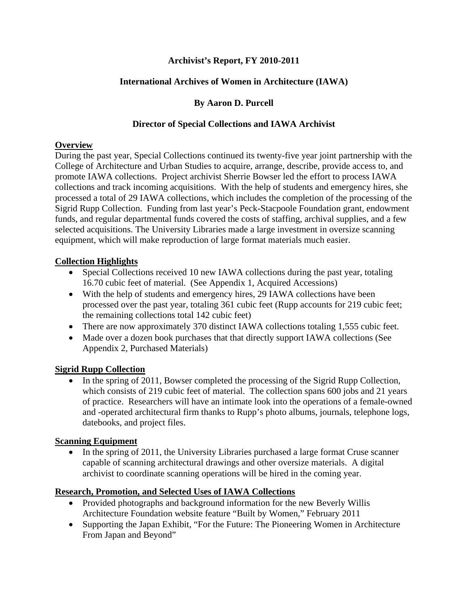## **Archivist's Report, FY 2010-2011**

## **International Archives of Women in Architecture (IAWA)**

## **By Aaron D. Purcell**

## **Director of Special Collections and IAWA Archivist**

## **Overview**

During the past year, Special Collections continued its twenty-five year joint partnership with the College of Architecture and Urban Studies to acquire, arrange, describe, provide access to, and promote IAWA collections. Project archivist Sherrie Bowser led the effort to process IAWA collections and track incoming acquisitions. With the help of students and emergency hires, she processed a total of 29 IAWA collections, which includes the completion of the processing of the Sigrid Rupp Collection. Funding from last year's Peck-Stacpoole Foundation grant, endowment funds, and regular departmental funds covered the costs of staffing, archival supplies, and a few selected acquisitions. The University Libraries made a large investment in oversize scanning equipment, which will make reproduction of large format materials much easier.

## **Collection Highlights**

- Special Collections received 10 new IAWA collections during the past year, totaling 16.70 cubic feet of material. (See Appendix 1, Acquired Accessions)
- With the help of students and emergency hires, 29 IAWA collections have been processed over the past year, totaling 361 cubic feet (Rupp accounts for 219 cubic feet; the remaining collections total 142 cubic feet)
- There are now approximately 370 distinct IAWA collections totaling 1,555 cubic feet.
- Made over a dozen book purchases that that directly support IAWA collections (See Appendix 2, Purchased Materials)

## **Sigrid Rupp Collection**

• In the spring of 2011, Bowser completed the processing of the Sigrid Rupp Collection, which consists of 219 cubic feet of material. The collection spans 600 jobs and 21 years of practice. Researchers will have an intimate look into the operations of a female-owned and -operated architectural firm thanks to Rupp's photo albums, journals, telephone logs, datebooks, and project files.

## **Scanning Equipment**

• In the spring of 2011, the University Libraries purchased a large format Cruse scanner capable of scanning architectural drawings and other oversize materials. A digital archivist to coordinate scanning operations will be hired in the coming year.

## **Research, Promotion, and Selected Uses of IAWA Collections**

- Provided photographs and background information for the new Beverly Willis Architecture Foundation website feature "Built by Women," February 2011
- Supporting the Japan Exhibit, "For the Future: The Pioneering Women in Architecture From Japan and Beyond"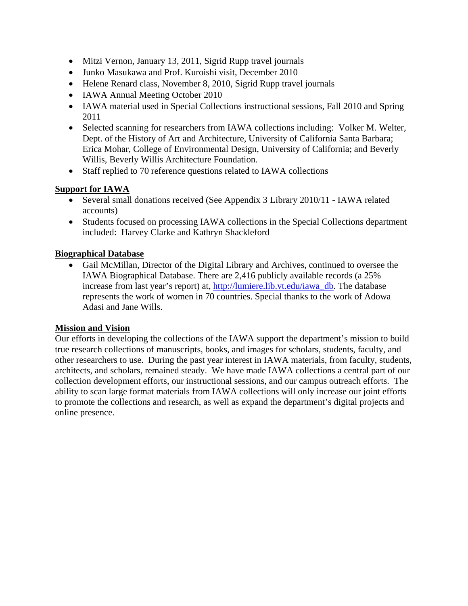- Mitzi Vernon, January 13, 2011, Sigrid Rupp travel journals
- Junko Masukawa and Prof. Kuroishi visit, December 2010
- Helene Renard class, November 8, 2010, Sigrid Rupp travel journals
- IAWA Annual Meeting October 2010
- IAWA material used in Special Collections instructional sessions, Fall 2010 and Spring 2011
- Selected scanning for researchers from IAWA collections including: Volker M. Welter, Dept. of the History of Art and Architecture, University of California Santa Barbara; Erica Mohar, College of Environmental Design, University of California; and Beverly Willis, Beverly Willis Architecture Foundation.
- Staff replied to 70 reference questions related to IAWA collections

## **Support for IAWA**

- Several small donations received (See Appendix 3 Library 2010/11 IAWA related accounts)
- Students focused on processing IAWA collections in the Special Collections department included: Harvey Clarke and Kathryn Shackleford

## **Biographical Database**

• Gail McMillan, Director of the Digital Library and Archives, continued to oversee the IAWA Biographical Database. There are 2,416 publicly available records (a 25% increase from last year's report) at, http://lumiere.lib.vt.edu/iawa\_db. The database represents the work of women in 70 countries. Special thanks to the work of Adowa Adasi and Jane Wills.

## **Mission and Vision**

Our efforts in developing the collections of the IAWA support the department's mission to build true research collections of manuscripts, books, and images for scholars, students, faculty, and other researchers to use. During the past year interest in IAWA materials, from faculty, students, architects, and scholars, remained steady. We have made IAWA collections a central part of our collection development efforts, our instructional sessions, and our campus outreach efforts. The ability to scan large format materials from IAWA collections will only increase our joint efforts to promote the collections and research, as well as expand the department's digital projects and online presence.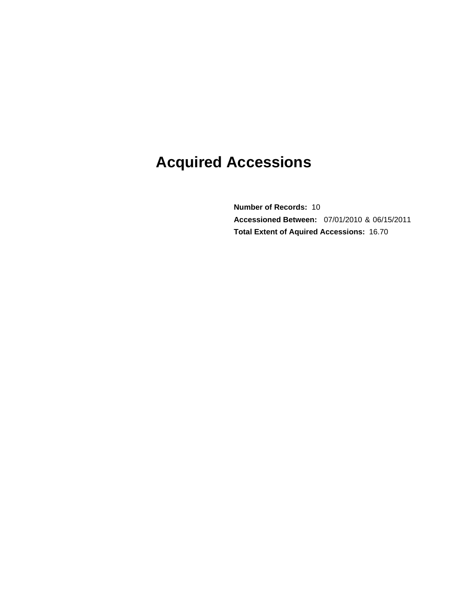# **Acquired Accessions**

**Total Extent of Aquired Accessions: 16.70 Number of Records: 10 Accessioned Between:** 07/01/2010 & 06/15/2011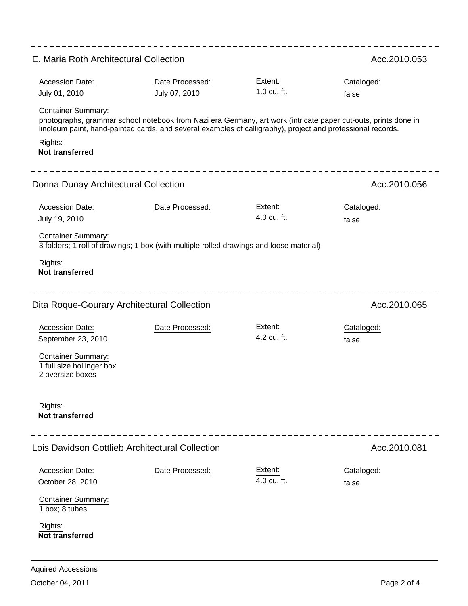| E. Maria Roth Architectural Collection                                                                                                                                            |                                                                                                                                                 |                        | Acc.2010.053                                                                                                                          |
|-----------------------------------------------------------------------------------------------------------------------------------------------------------------------------------|-------------------------------------------------------------------------------------------------------------------------------------------------|------------------------|---------------------------------------------------------------------------------------------------------------------------------------|
| Accession Date:<br>July 01, 2010<br><b>Container Summary:</b><br>Rights:                                                                                                          | Date Processed:<br>July 07, 2010<br>linoleum paint, hand-painted cards, and several examples of calligraphy), project and professional records. | Extent:<br>1.0 cu. ft. | Cataloged:<br>false<br>photographs, grammar school notebook from Nazi era Germany, art work (intricate paper cut-outs, prints done in |
| <b>Not transferred</b><br>Donna Dunay Architectural Collection                                                                                                                    |                                                                                                                                                 |                        | Acc.2010.056                                                                                                                          |
| <b>Accession Date:</b><br>July 19, 2010<br><b>Container Summary:</b><br>Rights:<br><b>Not transferred</b>                                                                         | Date Processed:<br>3 folders; 1 roll of drawings; 1 box (with multiple rolled drawings and loose material)                                      | Extent:<br>4.0 cu. ft. | Cataloged:<br>false                                                                                                                   |
| Dita Roque-Gourary Architectural Collection<br>Accession Date:<br>September 23, 2010<br><b>Container Summary:</b><br>1 full size hollinger box<br>2 oversize boxes                | Date Processed:                                                                                                                                 | Extent:<br>4.2 cu. ft. | Acc.2010.065<br>Cataloged:<br>false                                                                                                   |
| Rights:<br><b>Not transferred</b>                                                                                                                                                 |                                                                                                                                                 |                        |                                                                                                                                       |
| Lois Davidson Gottlieb Architectural Collection<br><b>Accession Date:</b><br>October 28, 2010<br><b>Container Summary:</b><br>1 box; 8 tubes<br>Rights:<br><b>Not transferred</b> | Date Processed:                                                                                                                                 | Extent:<br>4.0 cu. ft. | Acc.2010.081<br>Cataloged:<br>false                                                                                                   |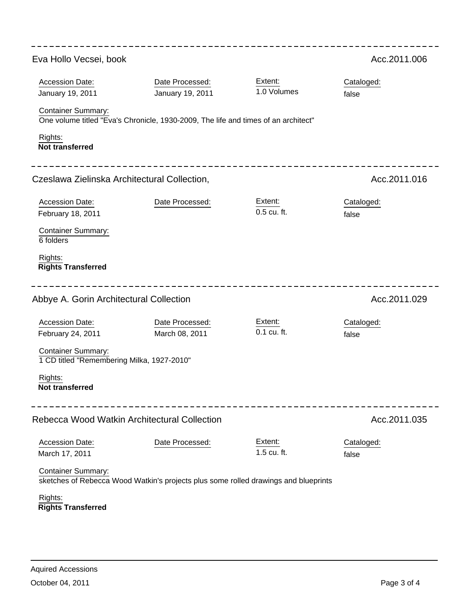| Eva Hollo Vecsei, book                                                  |                                                                                     |                        | Acc.2011.006        |
|-------------------------------------------------------------------------|-------------------------------------------------------------------------------------|------------------------|---------------------|
| <b>Accession Date:</b><br>January 19, 2011                              | Date Processed:<br>January 19, 2011                                                 | Extent:<br>1.0 Volumes | Cataloged:<br>false |
| <b>Container Summary:</b>                                               | One volume titled "Eva's Chronicle, 1930-2009, The life and times of an architect"  |                        |                     |
| Rights:<br><b>Not transferred</b>                                       |                                                                                     |                        |                     |
| Czeslawa Zielinska Architectural Collection,                            |                                                                                     |                        | Acc.2011.016        |
| <b>Accession Date:</b><br>February 18, 2011                             | Date Processed:                                                                     | Extent:<br>0.5 cu. ft. | Cataloged:<br>false |
| <b>Container Summary:</b><br>6 folders                                  |                                                                                     |                        |                     |
| Rights:<br><b>Rights Transferred</b>                                    |                                                                                     |                        |                     |
| Abbye A. Gorin Architectural Collection                                 | Acc.2011.029                                                                        |                        |                     |
| Accession Date:<br>February 24, 2011                                    | Date Processed:<br>March 08, 2011                                                   | Extent:<br>0.1 cu. ft. | Cataloged:<br>false |
| <b>Container Summary:</b><br>1 CD titled "Remembering Milka, 1927-2010" |                                                                                     |                        |                     |
| Rights:<br><b>Not transferred</b>                                       |                                                                                     |                        |                     |
| Rebecca Wood Watkin Architectural Collection                            | Acc.2011.035                                                                        |                        |                     |
| Accession Date:<br>March 17, 2011                                       | Date Processed:                                                                     | Extent:<br>1.5 cu. ft. | Cataloged:<br>false |
| <b>Container Summary:</b>                                               | sketches of Rebecca Wood Watkin's projects plus some rolled drawings and blueprints |                        |                     |
| Rights:<br><b>Rights Transferred</b>                                    |                                                                                     |                        |                     |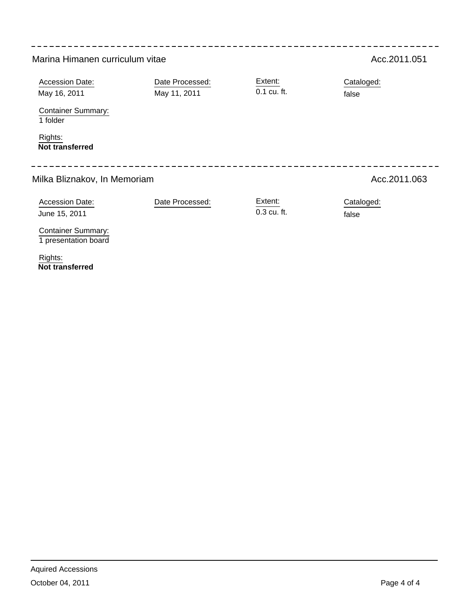| Marina Himanen curriculum vitae                                                                                      | Acc.2011.051                    |                                  |                     |
|----------------------------------------------------------------------------------------------------------------------|---------------------------------|----------------------------------|---------------------|
| <b>Accession Date:</b><br>May 16, 2011<br><b>Container Summary:</b><br>1 folder<br>Rights:<br><b>Not transferred</b> | Date Processed:<br>May 11, 2011 | Extent:<br>0.1 cu. ft.           | Cataloged:<br>false |
| Milka Bliznakov, In Memoriam                                                                                         | Acc.2011.063                    |                                  |                     |
| <b>Accession Date:</b><br>June 15, 2011                                                                              | Date Processed:                 | Extent:<br>$0.3 \text{ cu. ft.}$ | Cataloged:<br>false |
| <b>Container Summary:</b><br>1 presentation board                                                                    |                                 |                                  |                     |

**Not transferred** Rights: